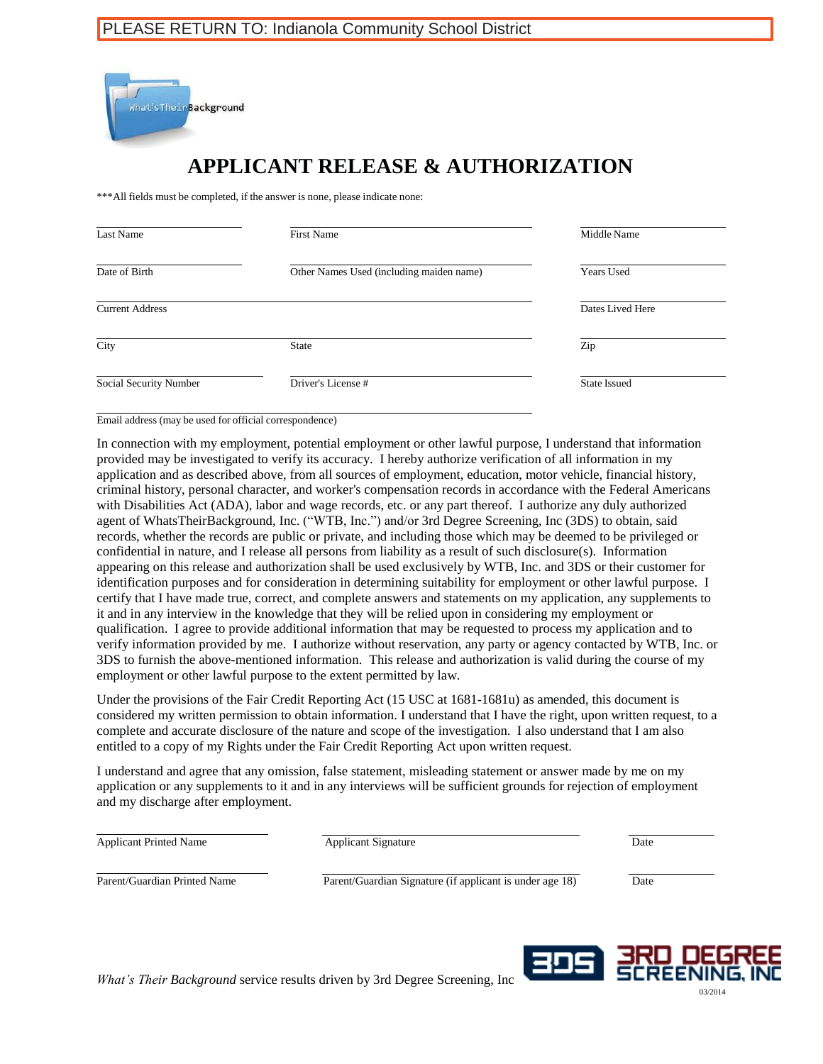

## **APPLICANT RELEASE & AUTHORIZATION**

\*\*\*All fields must be completed, if the answer is none, please indicate none:

| Last Name              | <b>First Name</b>                        | Middle Name<br>Years Used |  |  |
|------------------------|------------------------------------------|---------------------------|--|--|
| Date of Birth          | Other Names Used (including maiden name) |                           |  |  |
| <b>Current Address</b> |                                          | Dates Lived Here          |  |  |
| City                   | <b>State</b>                             | Zip                       |  |  |
| Social Security Number | Driver's License #                       |                           |  |  |

Email address (may be used for official correspondence)

In connection with my employment, potential employment or other lawful purpose, I understand that information provided may be investigated to verify its accuracy. I hereby authorize verification of all information in my application and as described above, from all sources of employment, education, motor vehicle, financial history, criminal history, personal character, and worker's compensation records in accordance with the Federal Americans with Disabilities Act (ADA), labor and wage records, etc. or any part thereof. I authorize any duly authorized agent of WhatsTheirBackground, Inc. ("WTB, Inc.") and/or 3rd Degree Screening, Inc (3DS) to obtain, said records, whether the records are public or private, and including those which may be deemed to be privileged or confidential in nature, and I release all persons from liability as a result of such disclosure(s). Information appearing on this release and authorization shall be used exclusively by WTB, Inc. and 3DS or their customer for identification purposes and for consideration in determining suitability for employment or other lawful purpose. I certify that I have made true, correct, and complete answers and statements on my application, any supplements to it and in any interview in the knowledge that they will be relied upon in considering my employment or qualification. I agree to provide additional information that may be requested to process my application and to verify information provided by me. I authorize without reservation, any party or agency contacted by WTB, Inc. or 3DS to furnish the above-mentioned information. This release and authorization is valid during the course of my employment or other lawful purpose to the extent permitted by law.

Under the provisions of the Fair Credit Reporting Act (15 USC at 1681-1681u) as amended, this document is considered my written permission to obtain information. I understand that I have the right, upon written request, to a complete and accurate disclosure of the nature and scope of the investigation. I also understand that I am also entitled to a copy of my Rights under the Fair Credit Reporting Act upon written request.

I understand and agree that any omission, false statement, misleading statement or answer made by me on my application or any supplements to it and in any interviews will be sufficient grounds for rejection of employment and my discharge after employment.

Applicant Printed Name Applicant Signature Date

Parent/Guardian Printed Name Parent/Guardian Signature (if applicant is under age 18) Date



*What's Their Background* service results driven by 3rd Degree Screening, Inc